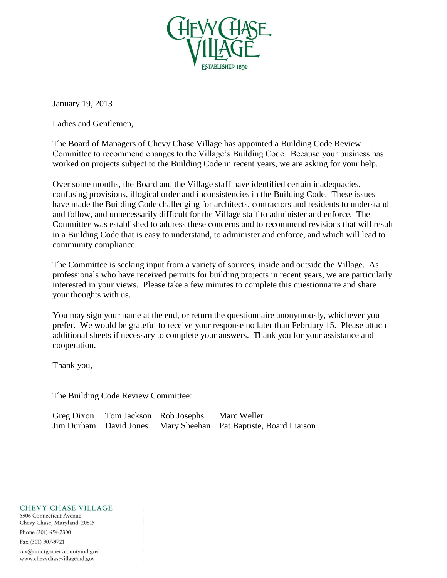

January 19, 2013

Ladies and Gentlemen,

The Board of Managers of Chevy Chase Village has appointed a Building Code Review Committee to recommend changes to the Village's Building Code. Because your business has worked on projects subject to the Building Code in recent years, we are asking for your help.

Over some months, the Board and the Village staff have identified certain inadequacies, confusing provisions, illogical order and inconsistencies in the Building Code. These issues have made the Building Code challenging for architects, contractors and residents to understand and follow, and unnecessarily difficult for the Village staff to administer and enforce. The Committee was established to address these concerns and to recommend revisions that will result in a Building Code that is easy to understand, to administer and enforce, and which will lead to community compliance.

The Committee is seeking input from a variety of sources, inside and outside the Village. As professionals who have received permits for building projects in recent years, we are particularly interested in your views. Please take a few minutes to complete this questionnaire and share your thoughts with us.

You may sign your name at the end, or return the questionnaire anonymously, whichever you prefer. We would be grateful to receive your response no later than February 15. Please attach additional sheets if necessary to complete your answers. Thank you for your assistance and cooperation.

Thank you,

The Building Code Review Committee:

| Greg Dixon Tom Jackson Rob Josephs | Marc Weller                                                     |
|------------------------------------|-----------------------------------------------------------------|
|                                    | Jim Durham David Jones Mary Sheehan Pat Baptiste, Board Liaison |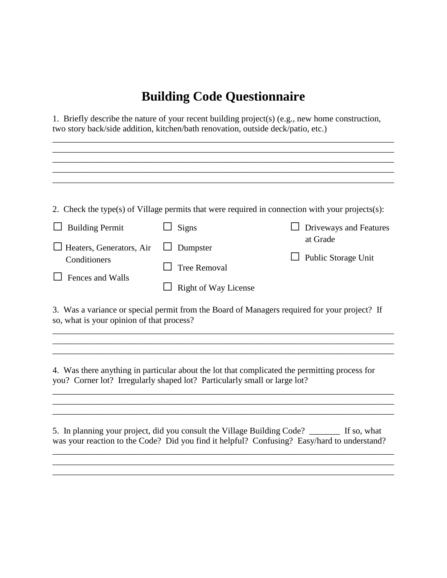## **Building Code Questionnaire**

1. Briefly describe the nature of your recent building project(s) (e.g., new home construction, two story back/side addition, kitchen/bath renovation, outside deck/patio, etc.)

|                                                                                                           |                                                                           | 2. Check the type(s) of Village permits that were required in connection with your projects(s):                                 |
|-----------------------------------------------------------------------------------------------------------|---------------------------------------------------------------------------|---------------------------------------------------------------------------------------------------------------------------------|
| <b>Building Permit</b>                                                                                    | Signs                                                                     | Driveways and Features                                                                                                          |
| Heaters, Generators, Air<br>Conditioners<br>Fences and Walls<br>so, what is your opinion of that process? | Dumpster<br><b>Tree Removal</b><br><b>Right of Way License</b>            | at Grade<br>Public Storage Unit<br>3. Was a variance or special permit from the Board of Managers required for your project? If |
|                                                                                                           |                                                                           |                                                                                                                                 |
|                                                                                                           | you? Corner lot? Irregularly shaped lot? Particularly small or large lot? | 4. Was there anything in particular about the lot that complicated the permitting process for                                   |
|                                                                                                           |                                                                           |                                                                                                                                 |
|                                                                                                           |                                                                           |                                                                                                                                 |
|                                                                                                           | 5. In planning your project, did you consult the Village Building Code?   | If so, what                                                                                                                     |

was your reaction to the Code? Did you find it helpful? Confusing? Easy/hard to understand? \_\_\_\_\_\_\_\_\_\_\_\_\_\_\_\_\_\_\_\_\_\_\_\_\_\_\_\_\_\_\_\_\_\_\_\_\_\_\_\_\_\_\_\_\_\_\_\_\_\_\_\_\_\_\_\_\_\_\_\_\_\_\_\_\_\_\_\_\_\_\_\_\_\_\_\_\_\_ \_\_\_\_\_\_\_\_\_\_\_\_\_\_\_\_\_\_\_\_\_\_\_\_\_\_\_\_\_\_\_\_\_\_\_\_\_\_\_\_\_\_\_\_\_\_\_\_\_\_\_\_\_\_\_\_\_\_\_\_\_\_\_\_\_\_\_\_\_\_\_\_\_\_\_\_\_\_ \_\_\_\_\_\_\_\_\_\_\_\_\_\_\_\_\_\_\_\_\_\_\_\_\_\_\_\_\_\_\_\_\_\_\_\_\_\_\_\_\_\_\_\_\_\_\_\_\_\_\_\_\_\_\_\_\_\_\_\_\_\_\_\_\_\_\_\_\_\_\_\_\_\_\_\_\_\_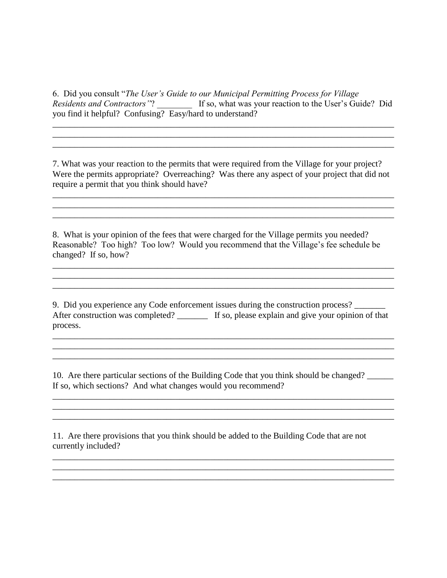6. Did you consult "*The User's Guide to our Municipal Permitting Process for Village Residents and Contractors"*? \_\_\_\_\_\_\_\_ If so, what was your reaction to the User's Guide? Did you find it helpful? Confusing? Easy/hard to understand?

\_\_\_\_\_\_\_\_\_\_\_\_\_\_\_\_\_\_\_\_\_\_\_\_\_\_\_\_\_\_\_\_\_\_\_\_\_\_\_\_\_\_\_\_\_\_\_\_\_\_\_\_\_\_\_\_\_\_\_\_\_\_\_\_\_\_\_\_\_\_\_\_\_\_\_\_\_\_ \_\_\_\_\_\_\_\_\_\_\_\_\_\_\_\_\_\_\_\_\_\_\_\_\_\_\_\_\_\_\_\_\_\_\_\_\_\_\_\_\_\_\_\_\_\_\_\_\_\_\_\_\_\_\_\_\_\_\_\_\_\_\_\_\_\_\_\_\_\_\_\_\_\_\_\_\_\_ \_\_\_\_\_\_\_\_\_\_\_\_\_\_\_\_\_\_\_\_\_\_\_\_\_\_\_\_\_\_\_\_\_\_\_\_\_\_\_\_\_\_\_\_\_\_\_\_\_\_\_\_\_\_\_\_\_\_\_\_\_\_\_\_\_\_\_\_\_\_\_\_\_\_\_\_\_\_

7. What was your reaction to the permits that were required from the Village for your project? Were the permits appropriate? Overreaching? Was there any aspect of your project that did not require a permit that you think should have?

\_\_\_\_\_\_\_\_\_\_\_\_\_\_\_\_\_\_\_\_\_\_\_\_\_\_\_\_\_\_\_\_\_\_\_\_\_\_\_\_\_\_\_\_\_\_\_\_\_\_\_\_\_\_\_\_\_\_\_\_\_\_\_\_\_\_\_\_\_\_\_\_\_\_\_\_\_\_  $\mathcal{L}_\mathcal{L} = \{ \mathcal{L}_\mathcal{L} = \{ \mathcal{L}_\mathcal{L} = \{ \mathcal{L}_\mathcal{L} = \{ \mathcal{L}_\mathcal{L} = \{ \mathcal{L}_\mathcal{L} = \{ \mathcal{L}_\mathcal{L} = \{ \mathcal{L}_\mathcal{L} = \{ \mathcal{L}_\mathcal{L} = \{ \mathcal{L}_\mathcal{L} = \{ \mathcal{L}_\mathcal{L} = \{ \mathcal{L}_\mathcal{L} = \{ \mathcal{L}_\mathcal{L} = \{ \mathcal{L}_\mathcal{L} = \{ \mathcal{L}_\mathcal{$ \_\_\_\_\_\_\_\_\_\_\_\_\_\_\_\_\_\_\_\_\_\_\_\_\_\_\_\_\_\_\_\_\_\_\_\_\_\_\_\_\_\_\_\_\_\_\_\_\_\_\_\_\_\_\_\_\_\_\_\_\_\_\_\_\_\_\_\_\_\_\_\_\_\_\_\_\_\_

8. What is your opinion of the fees that were charged for the Village permits you needed? Reasonable? Too high? Too low? Would you recommend that the Village's fee schedule be changed? If so, how?

\_\_\_\_\_\_\_\_\_\_\_\_\_\_\_\_\_\_\_\_\_\_\_\_\_\_\_\_\_\_\_\_\_\_\_\_\_\_\_\_\_\_\_\_\_\_\_\_\_\_\_\_\_\_\_\_\_\_\_\_\_\_\_\_\_\_\_\_\_\_\_\_\_\_\_\_\_\_ \_\_\_\_\_\_\_\_\_\_\_\_\_\_\_\_\_\_\_\_\_\_\_\_\_\_\_\_\_\_\_\_\_\_\_\_\_\_\_\_\_\_\_\_\_\_\_\_\_\_\_\_\_\_\_\_\_\_\_\_\_\_\_\_\_\_\_\_\_\_\_\_\_\_\_\_\_\_ \_\_\_\_\_\_\_\_\_\_\_\_\_\_\_\_\_\_\_\_\_\_\_\_\_\_\_\_\_\_\_\_\_\_\_\_\_\_\_\_\_\_\_\_\_\_\_\_\_\_\_\_\_\_\_\_\_\_\_\_\_\_\_\_\_\_\_\_\_\_\_\_\_\_\_\_\_\_

9. Did you experience any Code enforcement issues during the construction process? \_\_\_\_\_\_\_ After construction was completed?  $\qquad \qquad$  If so, please explain and give your opinion of that process.

\_\_\_\_\_\_\_\_\_\_\_\_\_\_\_\_\_\_\_\_\_\_\_\_\_\_\_\_\_\_\_\_\_\_\_\_\_\_\_\_\_\_\_\_\_\_\_\_\_\_\_\_\_\_\_\_\_\_\_\_\_\_\_\_\_\_\_\_\_\_\_\_\_\_\_\_\_\_

\_\_\_\_\_\_\_\_\_\_\_\_\_\_\_\_\_\_\_\_\_\_\_\_\_\_\_\_\_\_\_\_\_\_\_\_\_\_\_\_\_\_\_\_\_\_\_\_\_\_\_\_\_\_\_\_\_\_\_\_\_\_\_\_\_\_\_\_\_\_\_\_\_\_\_\_\_\_

 $\mathcal{L}_\mathcal{L} = \{ \mathcal{L}_\mathcal{L} = \{ \mathcal{L}_\mathcal{L} = \{ \mathcal{L}_\mathcal{L} = \{ \mathcal{L}_\mathcal{L} = \{ \mathcal{L}_\mathcal{L} = \{ \mathcal{L}_\mathcal{L} = \{ \mathcal{L}_\mathcal{L} = \{ \mathcal{L}_\mathcal{L} = \{ \mathcal{L}_\mathcal{L} = \{ \mathcal{L}_\mathcal{L} = \{ \mathcal{L}_\mathcal{L} = \{ \mathcal{L}_\mathcal{L} = \{ \mathcal{L}_\mathcal{L} = \{ \mathcal{L}_\mathcal{$ \_\_\_\_\_\_\_\_\_\_\_\_\_\_\_\_\_\_\_\_\_\_\_\_\_\_\_\_\_\_\_\_\_\_\_\_\_\_\_\_\_\_\_\_\_\_\_\_\_\_\_\_\_\_\_\_\_\_\_\_\_\_\_\_\_\_\_\_\_\_\_\_\_\_\_\_\_\_ \_\_\_\_\_\_\_\_\_\_\_\_\_\_\_\_\_\_\_\_\_\_\_\_\_\_\_\_\_\_\_\_\_\_\_\_\_\_\_\_\_\_\_\_\_\_\_\_\_\_\_\_\_\_\_\_\_\_\_\_\_\_\_\_\_\_\_\_\_\_\_\_\_\_\_\_\_\_

10. Are there particular sections of the Building Code that you think should be changed? \_\_\_\_\_\_ If so, which sections? And what changes would you recommend?

11. Are there provisions that you think should be added to the Building Code that are not currently included?

\_\_\_\_\_\_\_\_\_\_\_\_\_\_\_\_\_\_\_\_\_\_\_\_\_\_\_\_\_\_\_\_\_\_\_\_\_\_\_\_\_\_\_\_\_\_\_\_\_\_\_\_\_\_\_\_\_\_\_\_\_\_\_\_\_\_\_\_\_\_\_\_\_\_\_\_\_\_ \_\_\_\_\_\_\_\_\_\_\_\_\_\_\_\_\_\_\_\_\_\_\_\_\_\_\_\_\_\_\_\_\_\_\_\_\_\_\_\_\_\_\_\_\_\_\_\_\_\_\_\_\_\_\_\_\_\_\_\_\_\_\_\_\_\_\_\_\_\_\_\_\_\_\_\_\_\_